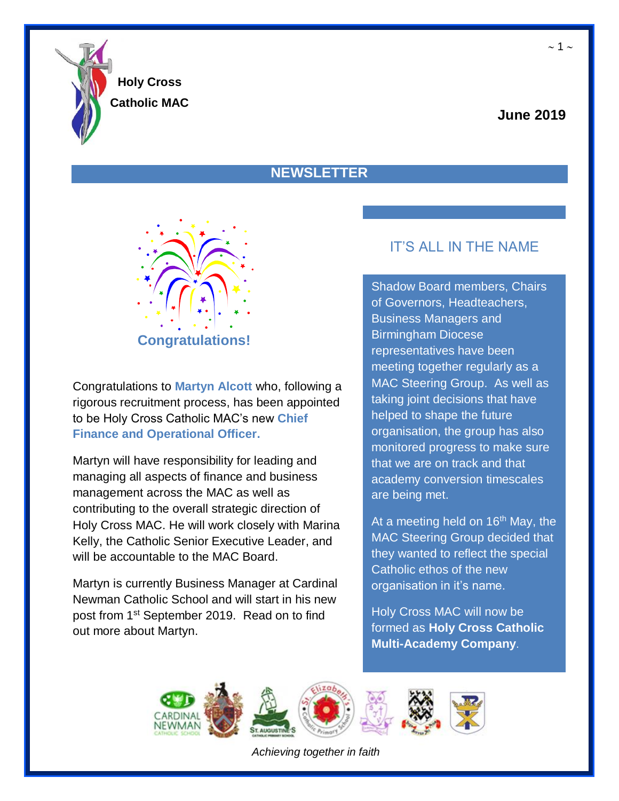

**Holy Cross**

## **Catholic MAC**

## **June 2019**

## **NEWSLETTER**



Congratulations to **Martyn Alcott** who, following a rigorous recruitment process, has been appointed to be Holy Cross Catholic MAC's new **Chief Finance and Operational Officer.**

Martyn will have responsibility for leading and managing all aspects of finance and business management across the MAC as well as contributing to the overall strategic direction of Holy Cross MAC. He will work closely with Marina Kelly, the Catholic Senior Executive Leader, and will be accountable to the MAC Board.

Martyn is currently Business Manager at Cardinal Newman Catholic School and will start in his new post from 1st September 2019. Read on to find out more about Martyn.

## IT'S ALL IN THE NAME

Shadow Board members, Chairs of Governors, Headteachers, Business Managers and Birmingham Diocese representatives have been meeting together regularly as a MAC Steering Group. As well as taking joint decisions that have helped to shape the future organisation, the group has also monitored progress to make sure that we are on track and that academy conversion timescales are being met.

At a meeting held on  $16<sup>th</sup>$  May, the MAC Steering Group decided that they wanted to reflect the special Catholic ethos of the new organisation in it's name.

Holy Cross MAC will now be formed as **Holy Cross Catholic Multi-Academy Company**.

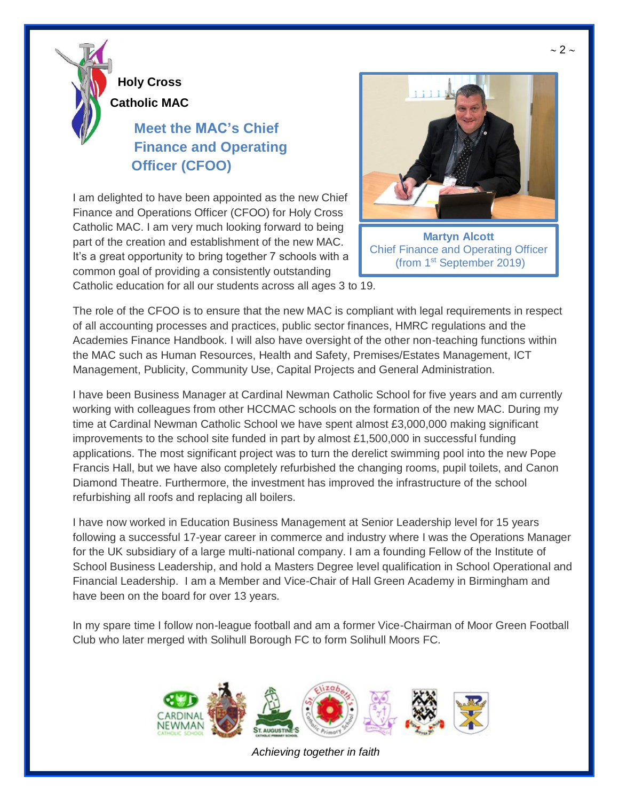

## **Meet the MAC's Chief Finance and Operating Officer (CFOO)**

I am delighted to have been appointed as the new Chief Finance and Operations Officer (CFOO) for Holy Cross Catholic MAC. I am very much looking forward to being part of the creation and establishment of the new MAC. It's a great opportunity to bring together 7 schools with a common goal of providing a consistently outstanding



(from 1st September 2019)

Catholic education for all our students across all ages 3 to 19.

The role of the CFOO is to ensure that the new MAC is compliant with legal requirements in respect of all accounting processes and practices, public sector finances, HMRC regulations and the Academies Finance Handbook. I will also have oversight of the other non-teaching functions within the MAC such as Human Resources, Health and Safety, Premises/Estates Management, ICT Management, Publicity, Community Use, Capital Projects and General Administration.

I have been Business Manager at Cardinal Newman Catholic School for five years and am currently working with colleagues from other HCCMAC schools on the formation of the new MAC. During my time at Cardinal Newman Catholic School we have spent almost £3,000,000 making significant improvements to the school site funded in part by almost  $£1,500,000$  in successful funding applications. The most significant project was to turn the derelict swimming pool into the new Pope Francis Hall, but we have also completely refurbished the changing rooms, pupil toilets, and Canon Diamond Theatre. Furthermore, the investment has improved the infrastructure of the school refurbishing all roofs and replacing all boilers.

I have now worked in Education Business Management at Senior Leadership level for 15 years following a successful 17-year career in commerce and industry where I was the Operations Manager for the UK subsidiary of a large multi-national company. I am a founding Fellow of the Institute of School Business Leadership, and hold a Masters Degree level qualification in School Operational and Financial Leadership. I am a Member and Vice-Chair of Hall Green Academy in Birmingham and have been on the board for over 13 years.

In my spare time I follow non-league football and am a former Vice-Chairman of Moor Green Football Club who later merged with Solihull Borough FC to form Solihull Moors FC.



*Achieving together in faith*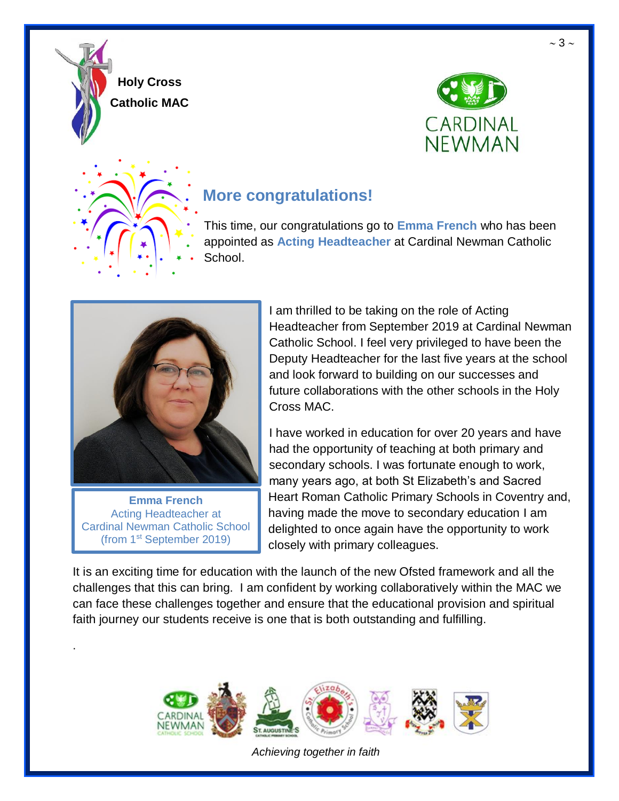





# **More congratulations!**

This time, our congratulations go to **Emma French** who has been appointed as **Acting Headteacher** at Cardinal Newman Catholic School.



**Emma French** Acting Headteacher at Cardinal Newman Catholic School (from 1st September 2019)

.

I am thrilled to be taking on the role of Acting Headteacher from September 2019 at Cardinal Newman Catholic School. I feel very privileged to have been the Deputy Headteacher for the last five years at the school and look forward to building on our successes and future collaborations with the other schools in the Holy Cross MAC.

I have worked in education for over 20 years and have had the opportunity of teaching at both primary and secondary schools. I was fortunate enough to work, many years ago, at both St Elizabeth's and Sacred Heart Roman Catholic Primary Schools in Coventry and, having made the move to secondary education I am delighted to once again have the opportunity to work closely with primary colleagues.

It is an exciting time for education with the launch of the new Ofsted framework and all the challenges that this can bring. I am confident by working collaboratively within the MAC we can face these challenges together and ensure that the educational provision and spiritual faith journey our students receive is one that is both outstanding and fulfilling.



*Achieving together in faith*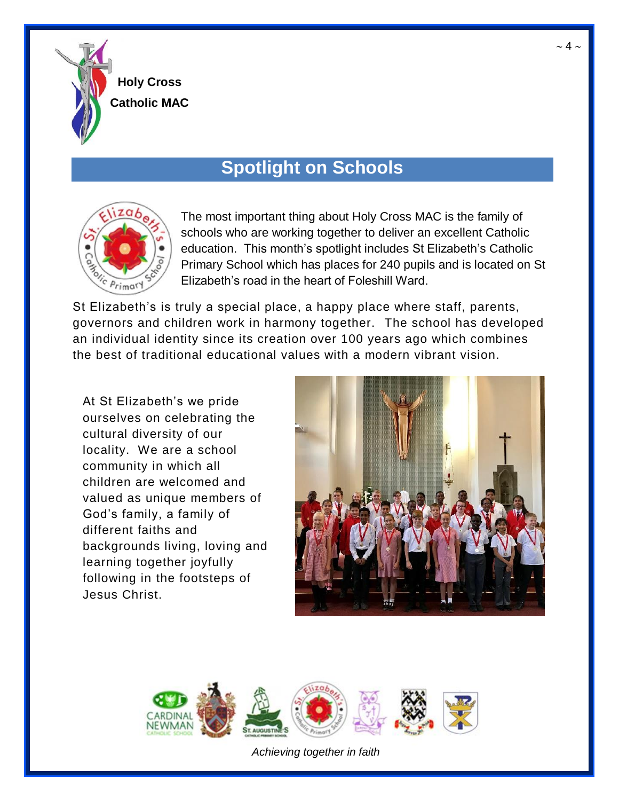

# **Spotlight on Schools**



The most important thing about Holy Cross MAC is the family of schools who are working together to deliver an excellent Catholic education. This month's spotlight includes St Elizabeth's Catholic Primary School which has places for 240 pupils and is located on St Elizabeth's road in the heart of Foleshill Ward.

St Elizabeth's is truly a special place, a happy place where staff, parents, governors and children work in harmony together. The school has developed an individual identity since its creation over 100 years ago which combines the best of traditional educational values with a modern vibrant vision.

At St Elizabeth's we pride ourselves on celebrating the cultural diversity of our locality. We are a school community in which all children are welcomed and valued as unique members of God's family, a family of different faiths and backgrounds living, loving and learning together joyfully following in the footsteps of Jesus Christ.



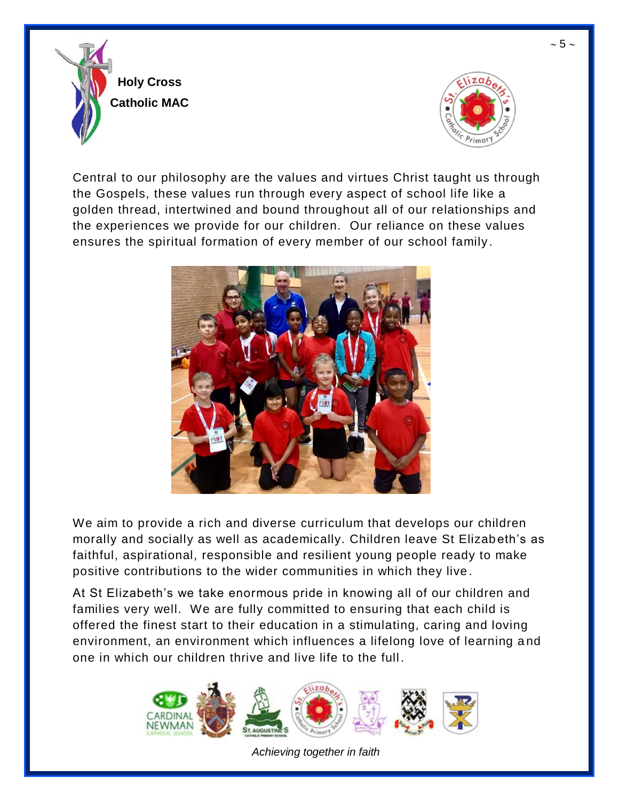



Central to our philosophy are the values and virtues Christ taught us through the Gospels, these values run through every aspect of school life like a golden thread, intertwined and bound throughout all of our relationships and the experiences we provide for our children. Our reliance on these values ensures the spiritual formation of every member of our school family .



We aim to provide a rich and diverse curriculum that develops our children morally and socially as well as academically. Children leave St Elizab eth's as faithful, aspirational, responsible and resilient young people ready to make positive contributions to the wider communities in which they live .

At St Elizabeth's we take enormous pride in knowing all of our children and families very well. We are fully committed to ensuring that each child is offered the finest start to their education in a stimulating, caring and loving environment, an environment which influences a lifelong love of learning a nd one in which our children thrive and live life to the full .



*Achieving together in faith*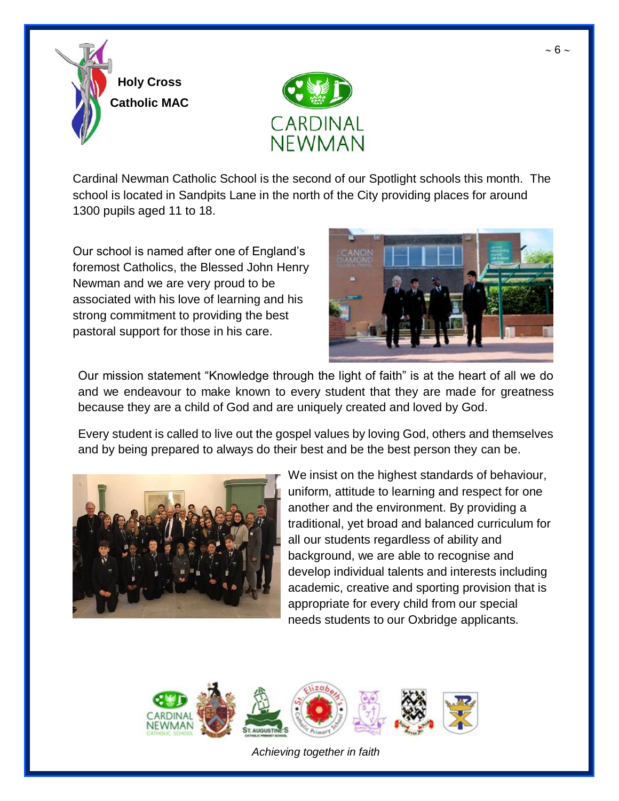

Cardinal Newman Catholic School is the second of our Spotlight schools this month. The school is located in Sandpits Lane in the north of the City providing places for around 1300 pupils aged 11 to 18.

Our school is named after one of England's foremost Catholics, the Blessed John Henry Newman and we are very proud to be associated with his love of learning and his strong commitment to providing the best pastoral support for those in his care.



Our mission statement "Knowledge through the light of faith" is at the heart of all we do and we endeavour to make known to every student that they are made for greatness because they are a child of God and are uniquely created and loved by God.

Every student is called to live out the gospel values by loving God, others and themselves and by being prepared to always do their best and be the best person they can be.



We insist on the highest standards of behaviour, uniform, attitude to learning and respect for one another and the environment. By providing a traditional, yet broad and balanced curriculum for all our students regardless of ability and background, we are able to recognise and develop individual talents and interests including academic, creative and sporting provision that is appropriate for every child from our special needs students to our Oxbridge applicants.

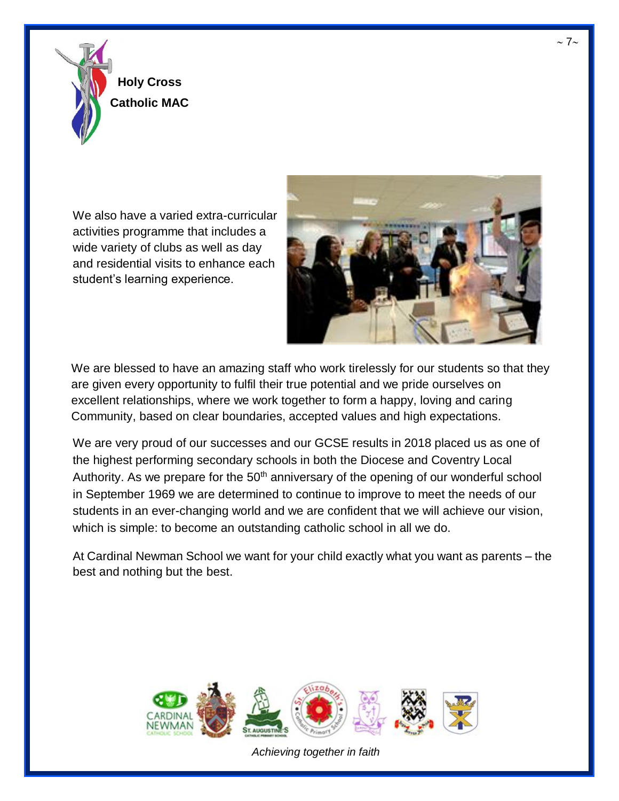

We also have a varied extra-curricular activities programme that includes a wide variety of clubs as well as day and residential visits to enhance each student's learning experience.



We are blessed to have an amazing staff who work tirelessly for our students so that they are given every opportunity to fulfil their true potential and we pride ourselves on excellent relationships, where we work together to form a happy, loving and caring Community, based on clear boundaries, accepted values and high expectations.

We are very proud of our successes and our GCSE results in 2018 placed us as one of the highest performing secondary schools in both the Diocese and Coventry Local Authority. As we prepare for the  $50<sup>th</sup>$  anniversary of the opening of our wonderful school in September 1969 we are determined to continue to improve to meet the needs of our students in an ever-changing world and we are confident that we will achieve our vision, which is simple: to become an outstanding catholic school in all we do.

At Cardinal Newman School we want for your child exactly what you want as parents – the best and nothing but the best.

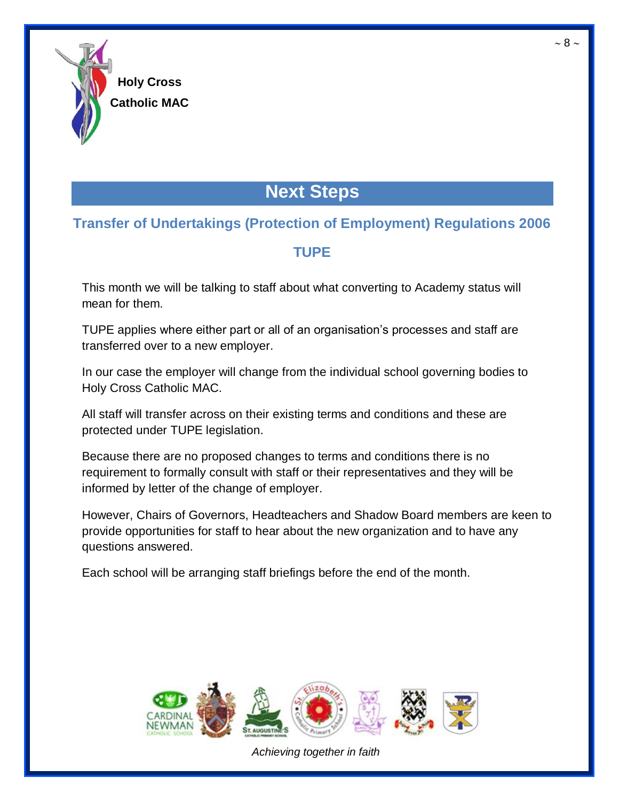

# **Next Steps**

## **Transfer of Undertakings (Protection of Employment) Regulations 2006**

## **TUPE**

This month we will be talking to staff about what converting to Academy status will mean for them.

TUPE applies where either part or all of an organisation's processes and staff are transferred over to a new employer.

In our case the employer will change from the individual school governing bodies to Holy Cross Catholic MAC.

All staff will transfer across on their existing terms and conditions and these are protected under TUPE legislation.

Because there are no proposed changes to terms and conditions there is no requirement to formally consult with staff or their representatives and they will be informed by letter of the change of employer.

However, Chairs of Governors, Headteachers and Shadow Board members are keen to provide opportunities for staff to hear about the new organization and to have any questions answered.

Each school will be arranging staff briefings before the end of the month.



*Achieving together in faith*